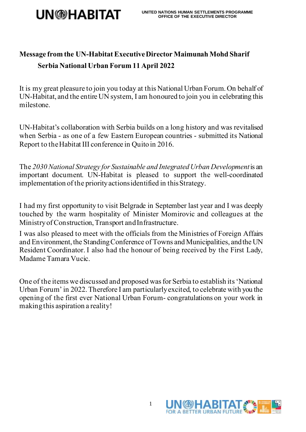

## **Message from the UN-Habitat Executive Director Maimunah Mohd Sharif Serbia National Urban Forum 11 April 2022**

It is my great pleasure to join you today at this National Urban Forum. On behalf of UN-Habitat, and the entire UN system, I am honoured to join you in celebrating this milestone.

UN-Habitat's collaboration with Serbia builds on a long history and was revitalised when Serbia - as one of a few Eastern European countries - submitted its National Report to the Habitat III conference in Quito in 2016.

The *2030 National Strategy for Sustainable and IntegratedUrban Development*is an important document. UN-Habitat is pleased to support the well-coordinated implementation of the priority actions identified in this Strategy.

I had my first opportunity to visit Belgrade in September last year and I was deeply touched by the warm hospitality of Minister Momirovic and colleagues at the Ministry of Construction, Transport and Infrastructure.

I was also pleased to meet with the officials from the Ministries of Foreign Affairs and Environment, the Standing Conference of Towns and Municipalities, and the UN Resident Coordinator. I also had the honour of being received by the First Lady, Madame Tamara Vucic.

One of the items we discussed and proposed was for Serbia to establish its 'National Urban Forum' in 2022. Therefore I am particularly excited, to celebrate with you the opening of the first ever National Urban Forum- congratulations on your work in makingthis aspiration a reality!

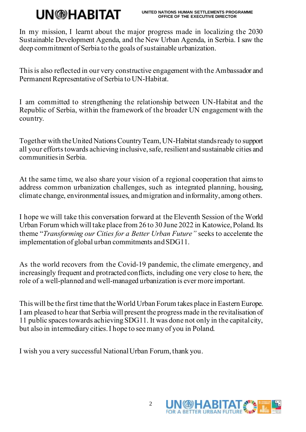## **UN**<sup>A</sup>HABITAT

In my mission, I learnt about the major progress made in localizing the 2030 Sustainable Development Agenda, and the New Urban Agenda, in Serbia. I saw the deep commitment of Serbia to the goals of sustainable urbanization.

This is also reflected in our very constructive engagement with the Ambassador and Permanent Representative of Serbia to UN-Habitat.

I am committed to strengthening the relationship between UN-Habitat and the Republic of Serbia, within the framework of the broader UN engagement with the country.

Together with the United Nations Country Team, UN-Habitat stands ready to support all your efforts towards achieving inclusive, safe, resilient and sustainable cities and communitiesin Serbia.

At the same time, we also share your vision of a regional cooperation that aims to address common urbanization challenges, such as integrated planning, housing, climate change, environmental issues, and migration and informality, among others.

I hope we will take this conversation forward at the Eleventh Session of the World Urban Forum which will take place from 26 to 30 June 2022 in Katowice, Poland. Its theme "*Transforming our Cities for a Better Urban Future"* seeks to accelerate the implementation of global urban commitments and SDG11.

As the world recovers from the Covid-19 pandemic, the climate emergency, and increasingly frequent and protracted conflicts, including one very close to here, the role of a well-planned and well-managed urbanization is ever more important.

This will be the first time that the World Urban Forum takes place in Eastern Europe. I am pleased to hear that Serbia will present the progress made in the revitalisation of 11 public spaces towards achieving SDG11. It was done not only in the capital city, but also in intermediary cities.I hope to see many of you in Poland.

I wish you a very successful National Urban Forum, thank you.